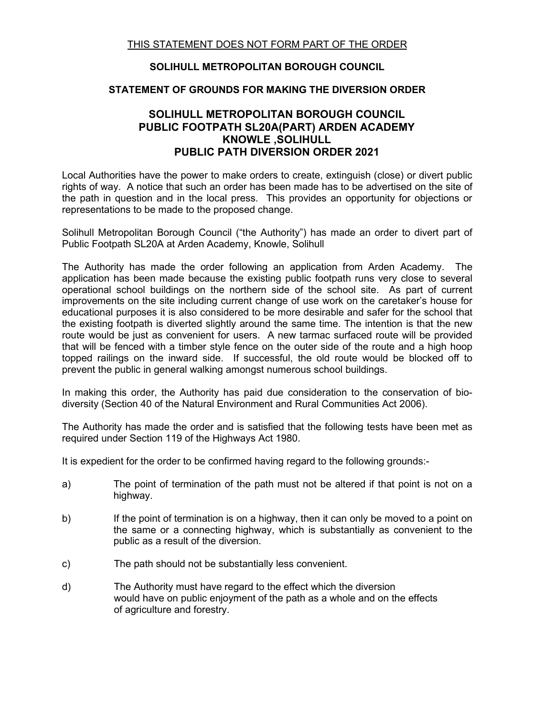## **SOLIHULL METROPOLITAN BOROUGH COUNCIL**

## **STATEMENT OF GROUNDS FOR MAKING THE DIVERSION ORDER**

## **SOLIHULL METROPOLITAN BOROUGH COUNCIL PUBLIC FOOTPATH SL20A(PART) ARDEN ACADEMY KNOWLE ,SOLIHULL PUBLIC PATH DIVERSION ORDER 2021**

Local Authorities have the power to make orders to create, extinguish (close) or divert public rights of way. A notice that such an order has been made has to be advertised on the site of the path in question and in the local press. This provides an opportunity for objections or representations to be made to the proposed change.

Solihull Metropolitan Borough Council ("the Authority") has made an order to divert part of Public Footpath SL20A at Arden Academy, Knowle, Solihull

The Authority has made the order following an application from Arden Academy. The application has been made because the existing public footpath runs very close to several operational school buildings on the northern side of the school site. As part of current improvements on the site including current change of use work on the caretaker's house for educational purposes it is also considered to be more desirable and safer for the school that the existing footpath is diverted slightly around the same time. The intention is that the new route would be just as convenient for users. A new tarmac surfaced route will be provided that will be fenced with a timber style fence on the outer side of the route and a high hoop topped railings on the inward side. If successful, the old route would be blocked off to prevent the public in general walking amongst numerous school buildings.

In making this order, the Authority has paid due consideration to the conservation of biodiversity (Section 40 of the Natural Environment and Rural Communities Act 2006).

The Authority has made the order and is satisfied that the following tests have been met as required under Section 119 of the Highways Act 1980.

It is expedient for the order to be confirmed having regard to the following grounds:-

- a) The point of termination of the path must not be altered if that point is not on a highway.
- b) If the point of termination is on a highway, then it can only be moved to a point on the same or a connecting highway, which is substantially as convenient to the public as a result of the diversion.
- c) The path should not be substantially less convenient.
- d) The Authority must have regard to the effect which the diversion would have on public enjoyment of the path as a whole and on the effects of agriculture and forestry.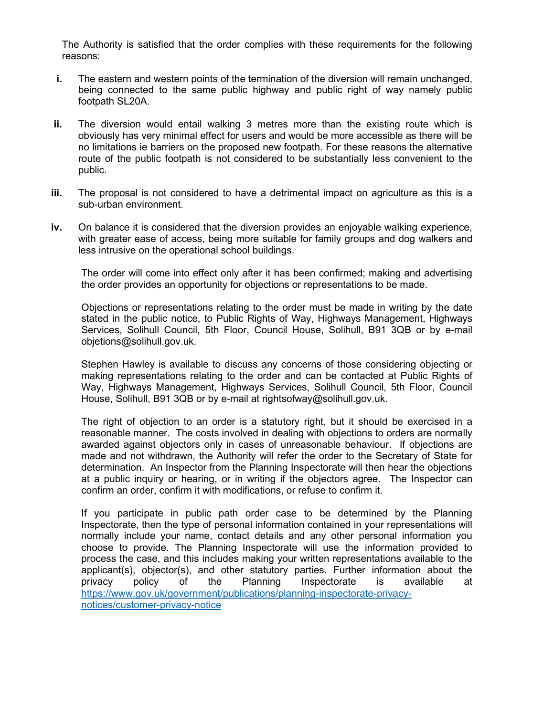The Authority is satisfied that the order complies with these requirements for the following reasons:

- **i.** The eastern and western points of the termination of the diversion will remain unchanged, being connected to the same public highway and public right of way namely public footpath SL20A.
- **ii.** The diversion would entail walking 3 metres more than the existing route which is obviously has very minimal effect for users and would be more accessible as there will be no limitations ie barriers on the proposed new footpath. For these reasons the alternative route of the public footpath is not considered to be substantially less convenient to the public.
- **iii.** The proposal is not considered to have a detrimental impact on agriculture as this is a sub-urban environment.
- **iv.** On balance it is considered that the diversion provides an enjoyable walking experience, with greater ease of access, being more suitable for family groups and dog walkers and less intrusive on the operational school buildings.

The order will come into effect only after it has been confirmed; making and advertising the order provides an opportunity for objections or representations to be made.

Objections or representations relating to the order must be made in writing by the date stated in the public notice, to Public Rights of Way, Highways Management, Highways Services, Solihull Council, 5th Floor, Council House, Solihull, B91 3QB or by e-mail objetions@solihull.gov.uk.

Stephen Hawley is available to discuss any concerns of those considering objecting or making representations relating to the order and can be contacted at Public Rights of Way, Highways Management, Highways Services, Solihull Council, 5th Floor, Council House, Solihull, B91 3QB or by e-mail at rightsofway@solihull.gov.uk.

The right of objection to an order is a statutory right, but it should be exercised in a reasonable manner. The costs involved in dealing with objections to orders are normally awarded against objectors only in cases of unreasonable behaviour. If objections are made and not withdrawn, the Authority will refer the order to the Secretary of State for determination. An Inspector from the Planning Inspectorate will then hear the objections at a public inquiry or hearing, or in writing if the objectors agree. The Inspector can confirm an order, confirm it with modifications, or refuse to confirm it.

If you participate in public path order case to be determined by the Planning Inspectorate, then the type of personal information contained in your representations will normally include your name, contact details and any other personal information you choose to provide. The Planning Inspectorate will use the information provided to process the case, and this includes making your written representations available to the applicant(s), objector(s), and other statutory parties. Further information about the privacy policy of the Planning Inspectorate is available at [https://www.gov.uk/government/publications/planning-inspectorate-privacy](https://www.gov.uk/government/publications/planning-inspectorate-privacy-notices/customer-privacy-notice)[notices/customer-privacy-notice](https://www.gov.uk/government/publications/planning-inspectorate-privacy-notices/customer-privacy-notice)